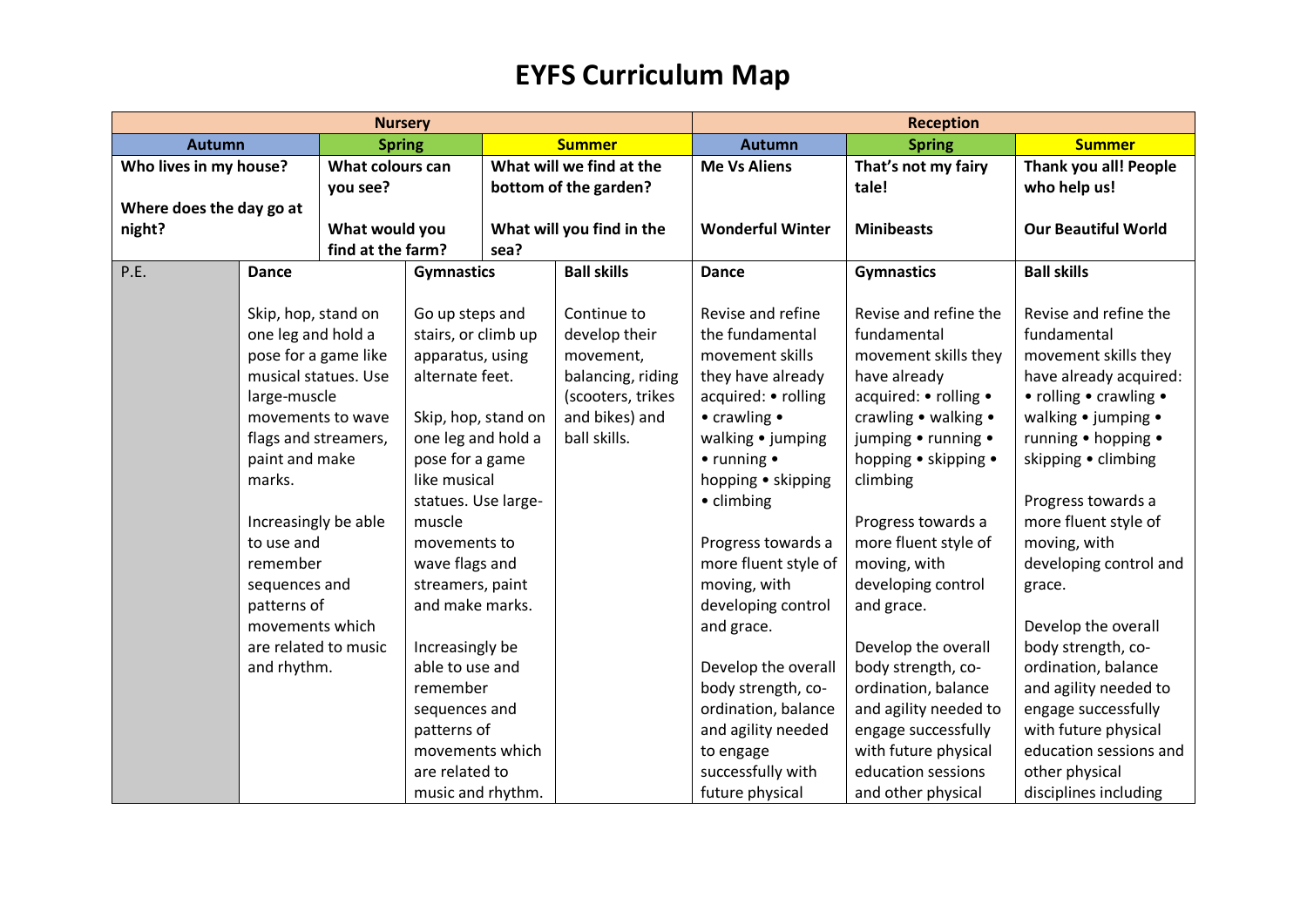| <b>Nursery</b>           |                      |                   |                     |                   | <b>Reception</b>            |                         |                        |                            |
|--------------------------|----------------------|-------------------|---------------------|-------------------|-----------------------------|-------------------------|------------------------|----------------------------|
| <b>Autumn</b>            |                      | <b>Spring</b>     |                     |                   | <b>Summer</b>               | <b>Autumn</b>           | <b>Spring</b>          | <b>Summer</b>              |
| Who lives in my house?   |                      | What colours can  |                     |                   | What will we find at the    | <b>Me Vs Aliens</b>     | That's not my fairy    | Thank you all! People      |
|                          |                      | you see?          |                     |                   | bottom of the garden?       |                         | tale!                  | who help us!               |
| Where does the day go at |                      |                   |                     |                   |                             |                         |                        |                            |
| night?                   |                      | What would you    |                     |                   | What will you find in the   | <b>Wonderful Winter</b> | <b>Minibeasts</b>      | <b>Our Beautiful World</b> |
|                          |                      | find at the farm? |                     | sea?              |                             |                         |                        |                            |
| P.E.                     | <b>Dance</b>         |                   | <b>Gymnastics</b>   |                   | <b>Ball skills</b>          | <b>Dance</b>            | <b>Gymnastics</b>      | <b>Ball skills</b>         |
|                          |                      |                   |                     |                   |                             |                         |                        |                            |
|                          | Skip, hop, stand on  |                   | Go up steps and     |                   | Continue to                 | Revise and refine       | Revise and refine the  | Revise and refine the      |
|                          | one leg and hold a   |                   | stairs, or climb up |                   | develop their               | the fundamental         | fundamental            | fundamental                |
|                          | pose for a game like |                   | apparatus, using    |                   | movement,                   | movement skills         | movement skills they   | movement skills they       |
| musical statues. Use     |                      | alternate feet.   |                     | balancing, riding | they have already           | have already            | have already acquired: |                            |
|                          | large-muscle         |                   |                     |                   | (scooters, trikes           | acquired: • rolling     | acquired: • rolling •  | • rolling • crawling •     |
|                          | movements to wave    |                   | Skip, hop, stand on |                   | and bikes) and              | • crawling •            | crawling • walking •   | walking • jumping •        |
|                          | flags and streamers, |                   | one leg and hold a  |                   | ball skills.                | walking • jumping       | jumping • running •    | running • hopping •        |
| paint and make           |                      | pose for a game   |                     |                   | $\bullet$ running $\bullet$ | hopping • skipping •    | skipping • climbing    |                            |
| marks.                   |                      | like musical      |                     |                   | hopping • skipping          | climbing                |                        |                            |
|                          |                      |                   | statues. Use large- |                   |                             | • climbing              |                        | Progress towards a         |
|                          | Increasingly be able |                   | muscle              |                   |                             |                         | Progress towards a     | more fluent style of       |
|                          | to use and           |                   | movements to        |                   |                             | Progress towards a      | more fluent style of   | moving, with               |
|                          | remember             |                   | wave flags and      |                   |                             | more fluent style of    | moving, with           | developing control and     |
|                          | sequences and        |                   | streamers, paint    |                   |                             | moving, with            | developing control     | grace.                     |
|                          | patterns of          |                   | and make marks.     |                   |                             | developing control      | and grace.             |                            |
|                          | movements which      |                   |                     |                   |                             | and grace.              |                        | Develop the overall        |
|                          | are related to music |                   | Increasingly be     |                   |                             |                         | Develop the overall    | body strength, co-         |
|                          | and rhythm.          |                   | able to use and     |                   |                             | Develop the overall     | body strength, co-     | ordination, balance        |
|                          |                      |                   | remember            |                   |                             | body strength, co-      | ordination, balance    | and agility needed to      |
|                          |                      |                   | sequences and       |                   |                             | ordination, balance     | and agility needed to  | engage successfully        |
|                          |                      |                   | patterns of         |                   |                             | and agility needed      | engage successfully    | with future physical       |
|                          |                      |                   | movements which     |                   |                             | to engage               | with future physical   | education sessions and     |
|                          |                      |                   | are related to      |                   |                             | successfully with       | education sessions     | other physical             |
|                          |                      |                   | music and rhythm.   |                   |                             | future physical         | and other physical     | disciplines including      |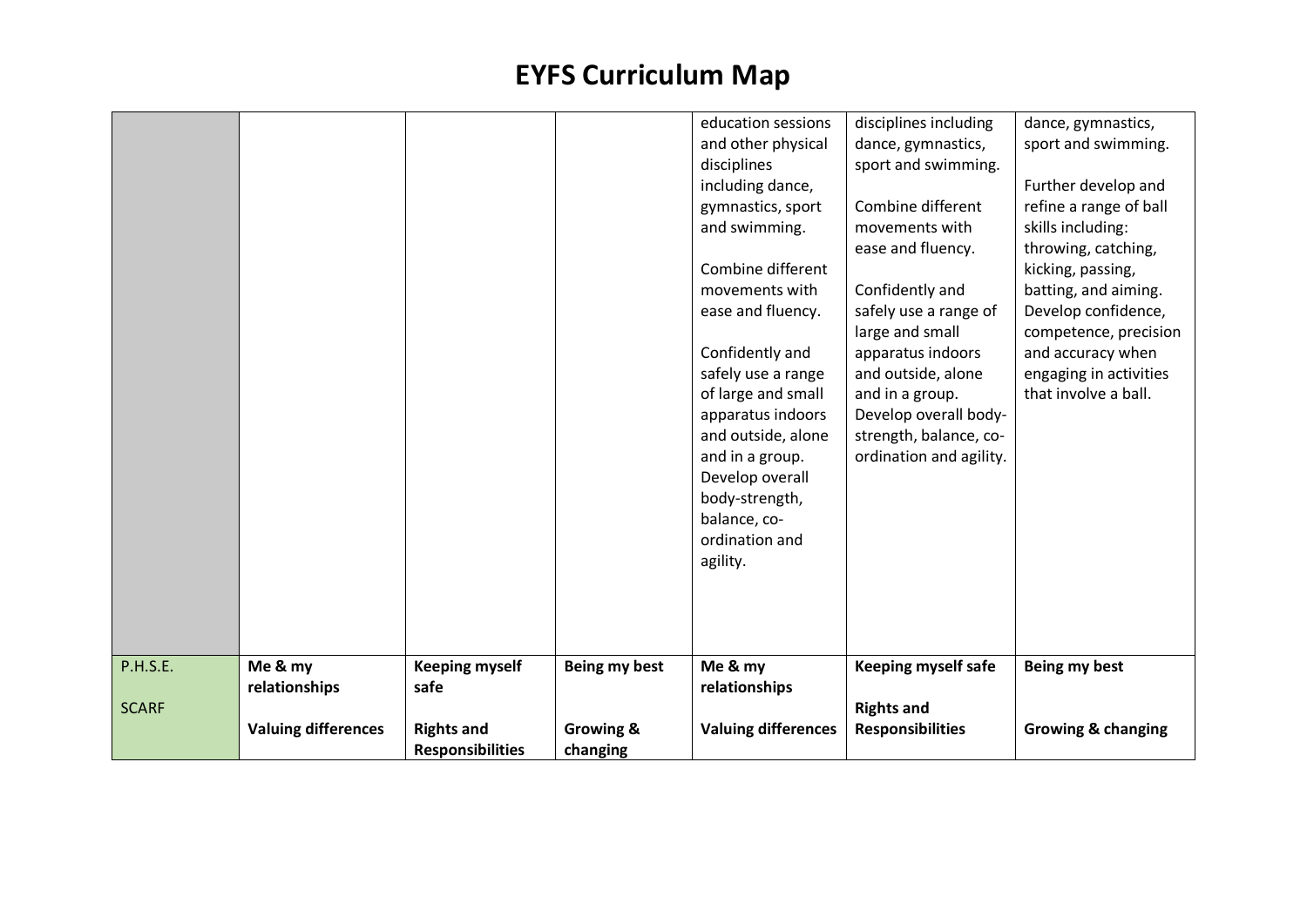| <b>SCARF</b> | relationships | safe                  |               | relationships                                                                                                                                                                                                                                                                                                          |                                                                                                                                                                                                                                                                     |                                                                                                                                                                                                                                                               |
|--------------|---------------|-----------------------|---------------|------------------------------------------------------------------------------------------------------------------------------------------------------------------------------------------------------------------------------------------------------------------------------------------------------------------------|---------------------------------------------------------------------------------------------------------------------------------------------------------------------------------------------------------------------------------------------------------------------|---------------------------------------------------------------------------------------------------------------------------------------------------------------------------------------------------------------------------------------------------------------|
| P.H.S.E.     | Me & my       | <b>Keeping myself</b> | Being my best | agility.<br>Me & my                                                                                                                                                                                                                                                                                                    | <b>Keeping myself safe</b>                                                                                                                                                                                                                                          | Being my best                                                                                                                                                                                                                                                 |
|              |               |                       |               | including dance,<br>gymnastics, sport<br>and swimming.<br>Combine different<br>movements with<br>ease and fluency.<br>Confidently and<br>safely use a range<br>of large and small<br>apparatus indoors<br>and outside, alone<br>and in a group.<br>Develop overall<br>body-strength,<br>balance, co-<br>ordination and | Combine different<br>movements with<br>ease and fluency.<br>Confidently and<br>safely use a range of<br>large and small<br>apparatus indoors<br>and outside, alone<br>and in a group.<br>Develop overall body-<br>strength, balance, co-<br>ordination and agility. | Further develop and<br>refine a range of ball<br>skills including:<br>throwing, catching,<br>kicking, passing,<br>batting, and aiming.<br>Develop confidence,<br>competence, precision<br>and accuracy when<br>engaging in activities<br>that involve a ball. |
|              |               |                       |               | education sessions<br>and other physical<br>disciplines                                                                                                                                                                                                                                                                | disciplines including<br>dance, gymnastics,<br>sport and swimming.                                                                                                                                                                                                  | dance, gymnastics,<br>sport and swimming.                                                                                                                                                                                                                     |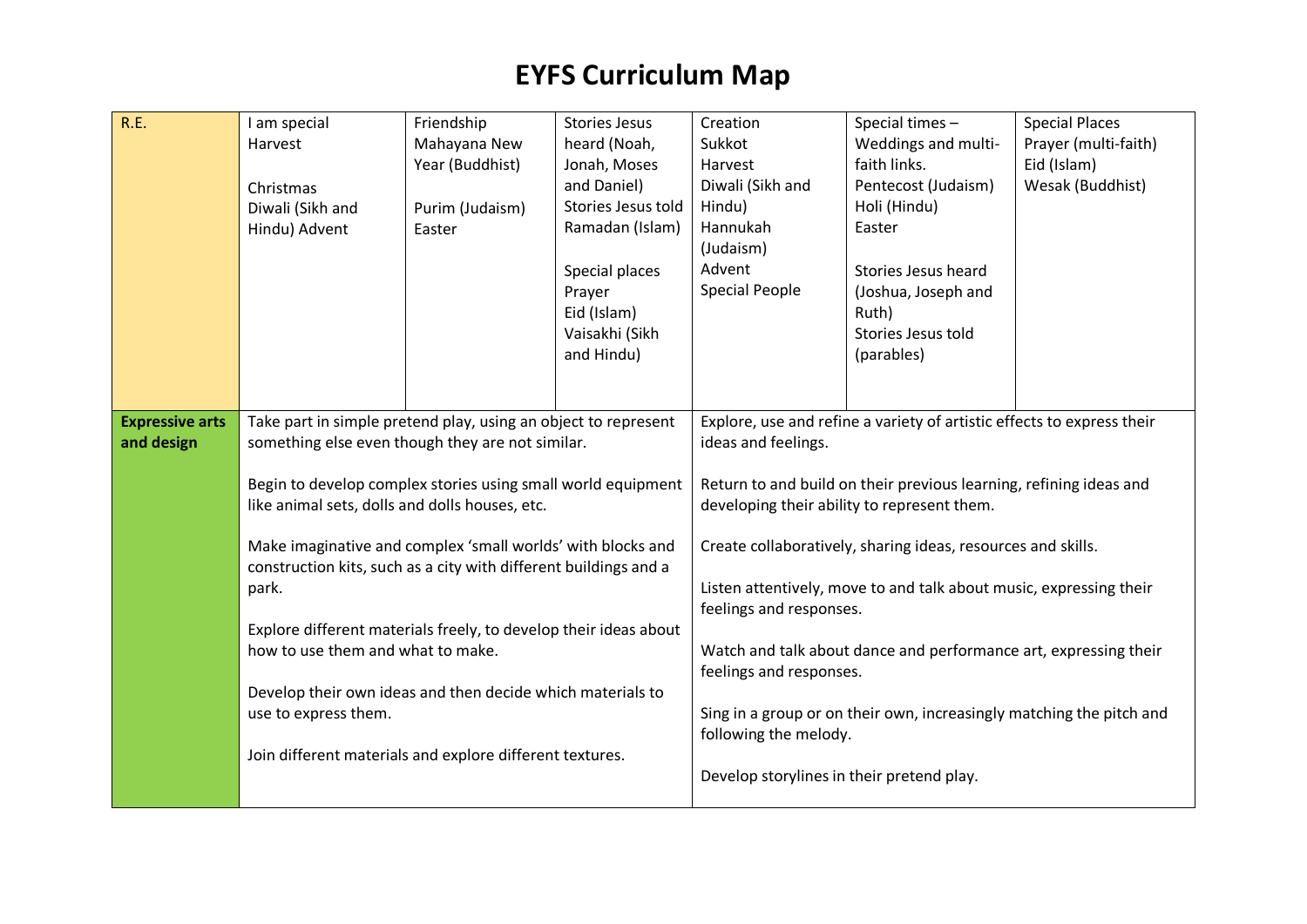| R.E.                                 | I am special<br>Harvest<br>Christmas<br>Diwali (Sikh and<br>Hindu) Advent                                                                                                                                                                                                                                                                                                                                                                                                                                                                                                                                                                   | Friendship<br>Mahayana New<br>Year (Buddhist)<br>Purim (Judaism)<br>Easter | <b>Stories Jesus</b><br>heard (Noah,<br>Jonah, Moses<br>and Daniel)<br>Stories Jesus told<br>Ramadan (Islam) | Creation<br>Sukkot<br>Harvest<br>Diwali (Sikh and<br>Hindu)<br>Hannukah<br>(Judaism)                                                            | Special times -<br>Weddings and multi-<br>faith links.<br>Pentecost (Judaism)<br>Holi (Hindu)<br>Easter                                                                                                                                                                                                                                                                                                                                                                       | <b>Special Places</b><br>Prayer (multi-faith)<br>Eid (Islam)<br>Wesak (Buddhist) |
|--------------------------------------|---------------------------------------------------------------------------------------------------------------------------------------------------------------------------------------------------------------------------------------------------------------------------------------------------------------------------------------------------------------------------------------------------------------------------------------------------------------------------------------------------------------------------------------------------------------------------------------------------------------------------------------------|----------------------------------------------------------------------------|--------------------------------------------------------------------------------------------------------------|-------------------------------------------------------------------------------------------------------------------------------------------------|-------------------------------------------------------------------------------------------------------------------------------------------------------------------------------------------------------------------------------------------------------------------------------------------------------------------------------------------------------------------------------------------------------------------------------------------------------------------------------|----------------------------------------------------------------------------------|
|                                      |                                                                                                                                                                                                                                                                                                                                                                                                                                                                                                                                                                                                                                             |                                                                            | Special places<br>Prayer<br>Eid (Islam)<br>Vaisakhi (Sikh<br>and Hindu)                                      | Advent<br><b>Special People</b>                                                                                                                 | Stories Jesus heard<br>(Joshua, Joseph and<br>Ruth)<br>Stories Jesus told<br>(parables)                                                                                                                                                                                                                                                                                                                                                                                       |                                                                                  |
| <b>Expressive arts</b><br>and design | Take part in simple pretend play, using an object to represent<br>something else even though they are not similar.<br>Begin to develop complex stories using small world equipment<br>like animal sets, dolls and dolls houses, etc.<br>Make imaginative and complex 'small worlds' with blocks and<br>construction kits, such as a city with different buildings and a<br>park.<br>Explore different materials freely, to develop their ideas about<br>how to use them and what to make.<br>Develop their own ideas and then decide which materials to<br>use to express them.<br>Join different materials and explore different textures. |                                                                            |                                                                                                              | ideas and feelings.<br>feelings and responses.<br>feelings and responses.<br>following the melody.<br>Develop storylines in their pretend play. | Explore, use and refine a variety of artistic effects to express their<br>Return to and build on their previous learning, refining ideas and<br>developing their ability to represent them.<br>Create collaboratively, sharing ideas, resources and skills.<br>Listen attentively, move to and talk about music, expressing their<br>Watch and talk about dance and performance art, expressing their<br>Sing in a group or on their own, increasingly matching the pitch and |                                                                                  |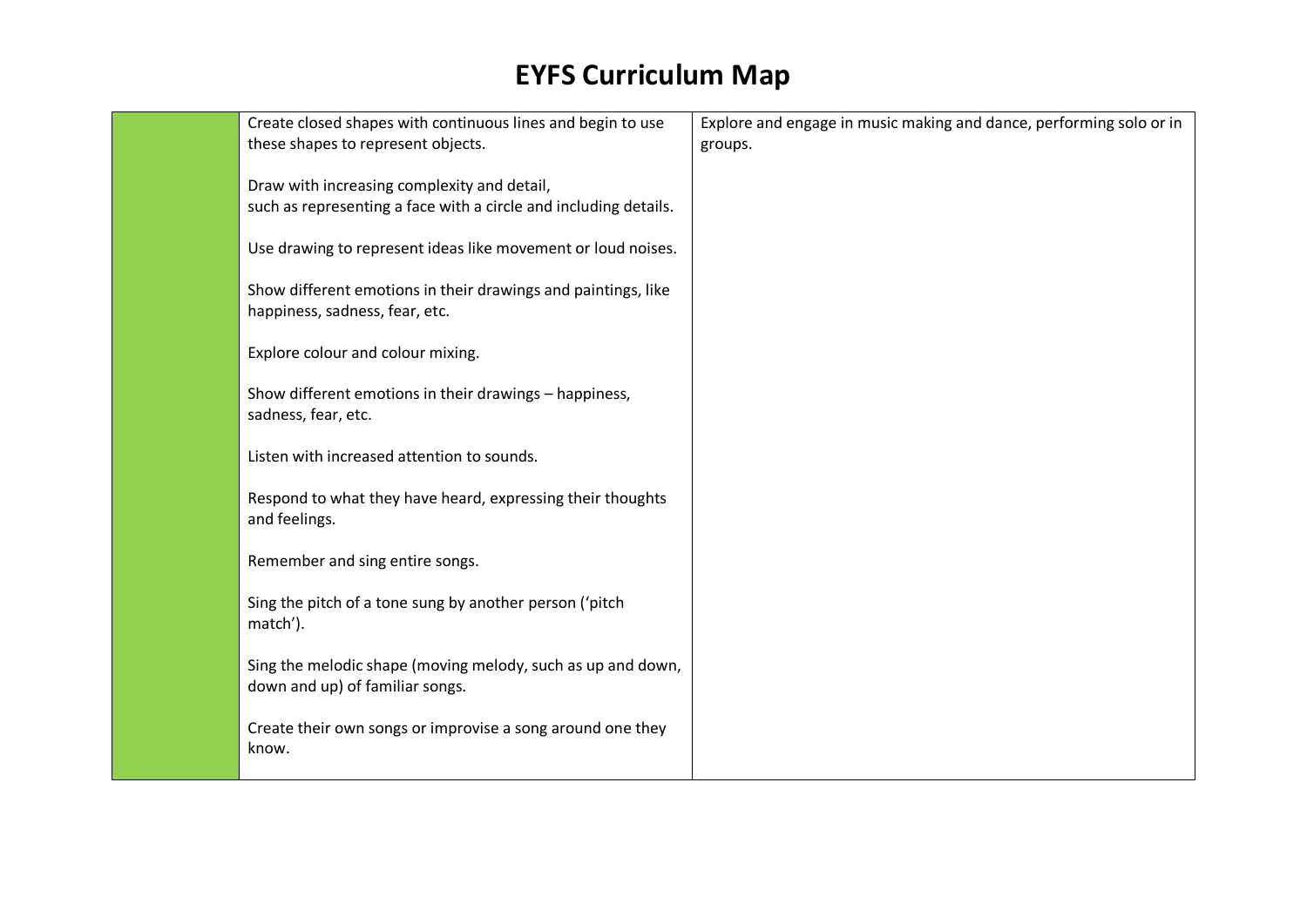| Create closed shapes with continuous lines and begin to use<br>these shapes to represent objects.               | Explore and engage in music making and dance, performing solo or in<br>groups. |
|-----------------------------------------------------------------------------------------------------------------|--------------------------------------------------------------------------------|
| Draw with increasing complexity and detail,<br>such as representing a face with a circle and including details. |                                                                                |
| Use drawing to represent ideas like movement or loud noises.                                                    |                                                                                |
| Show different emotions in their drawings and paintings, like<br>happiness, sadness, fear, etc.                 |                                                                                |
| Explore colour and colour mixing.                                                                               |                                                                                |
| Show different emotions in their drawings - happiness,<br>sadness, fear, etc.                                   |                                                                                |
| Listen with increased attention to sounds.                                                                      |                                                                                |
| Respond to what they have heard, expressing their thoughts<br>and feelings.                                     |                                                                                |
| Remember and sing entire songs.                                                                                 |                                                                                |
| Sing the pitch of a tone sung by another person ('pitch<br>match').                                             |                                                                                |
| Sing the melodic shape (moving melody, such as up and down,<br>down and up) of familiar songs.                  |                                                                                |
| Create their own songs or improvise a song around one they<br>know.                                             |                                                                                |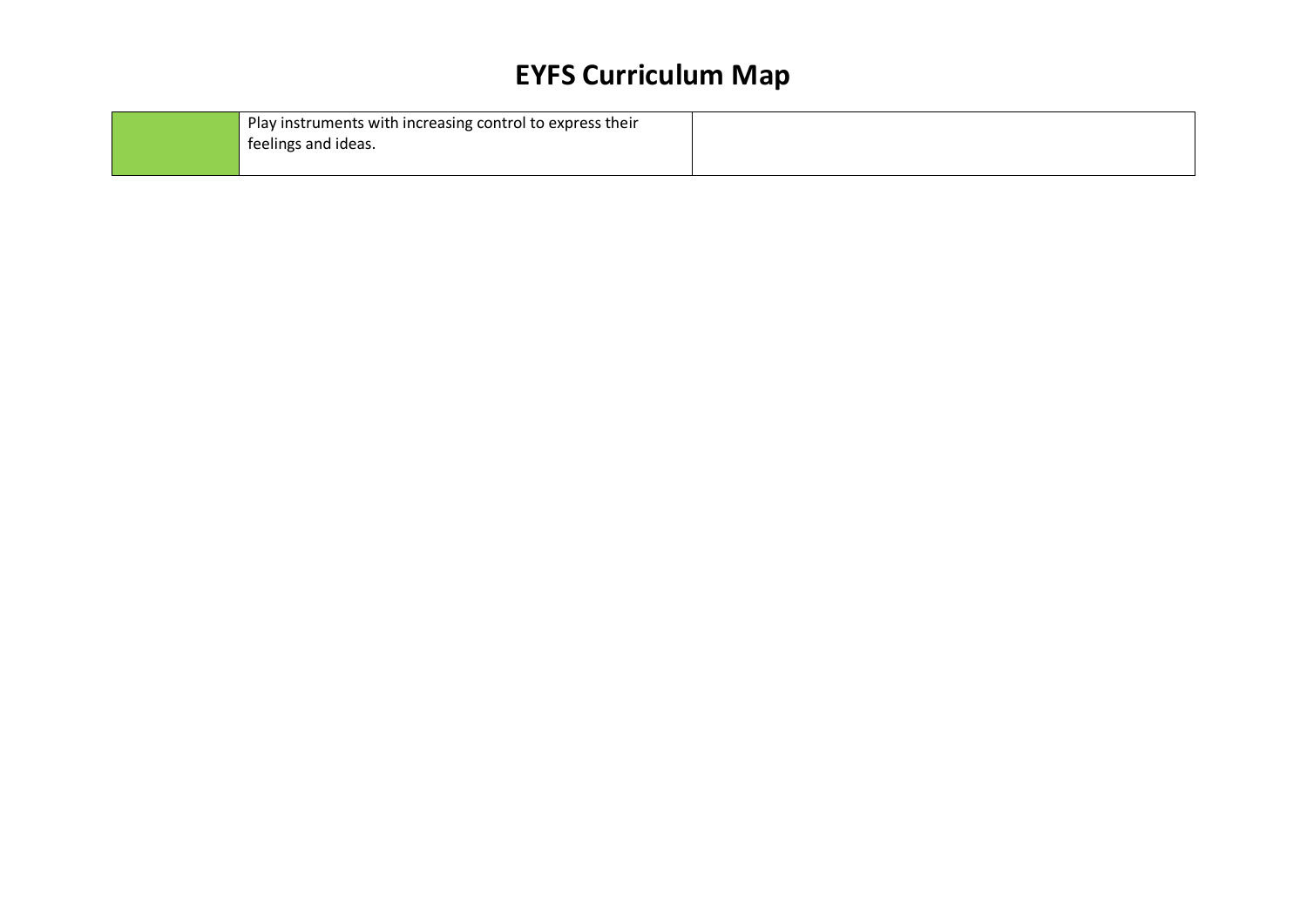| Play instruments with increasing control to express their |  |
|-----------------------------------------------------------|--|
| teelings and ideas.                                       |  |
|                                                           |  |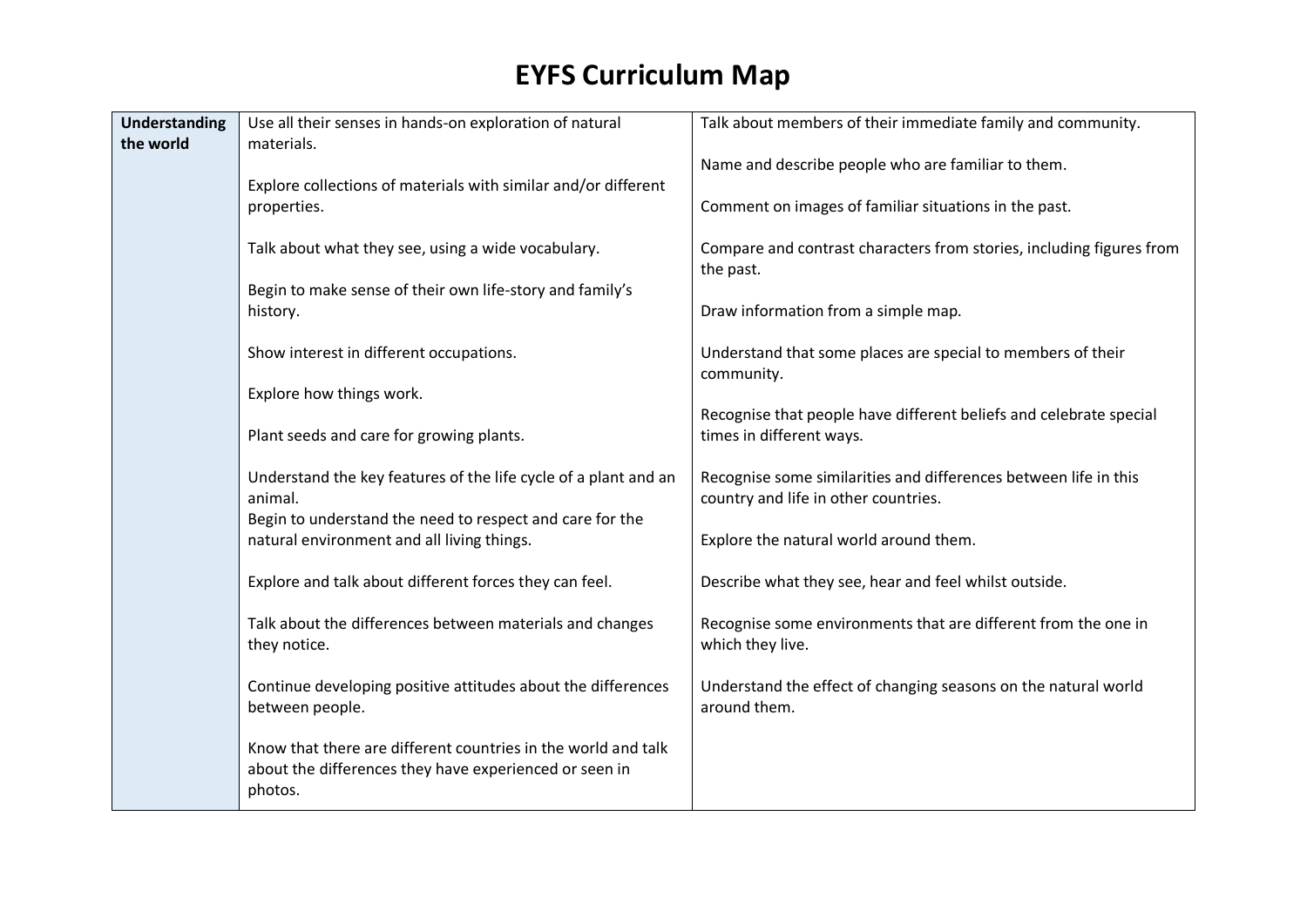| <b>Understanding</b> | Use all their senses in hands-on exploration of natural                                                                            | Talk about members of their immediate family and community.                                              |
|----------------------|------------------------------------------------------------------------------------------------------------------------------------|----------------------------------------------------------------------------------------------------------|
| the world            | materials.                                                                                                                         | Name and describe people who are familiar to them.                                                       |
|                      | Explore collections of materials with similar and/or different<br>properties.                                                      | Comment on images of familiar situations in the past.                                                    |
|                      | Talk about what they see, using a wide vocabulary.                                                                                 | Compare and contrast characters from stories, including figures from<br>the past.                        |
|                      | Begin to make sense of their own life-story and family's<br>history.                                                               | Draw information from a simple map.                                                                      |
|                      | Show interest in different occupations.                                                                                            | Understand that some places are special to members of their<br>community.                                |
|                      | Explore how things work.                                                                                                           |                                                                                                          |
|                      | Plant seeds and care for growing plants.                                                                                           | Recognise that people have different beliefs and celebrate special<br>times in different ways.           |
|                      | Understand the key features of the life cycle of a plant and an<br>animal.                                                         | Recognise some similarities and differences between life in this<br>country and life in other countries. |
|                      | Begin to understand the need to respect and care for the<br>natural environment and all living things.                             | Explore the natural world around them.                                                                   |
|                      | Explore and talk about different forces they can feel.                                                                             | Describe what they see, hear and feel whilst outside.                                                    |
|                      | Talk about the differences between materials and changes<br>they notice.                                                           | Recognise some environments that are different from the one in<br>which they live.                       |
|                      | Continue developing positive attitudes about the differences<br>between people.                                                    | Understand the effect of changing seasons on the natural world<br>around them.                           |
|                      | Know that there are different countries in the world and talk<br>about the differences they have experienced or seen in<br>photos. |                                                                                                          |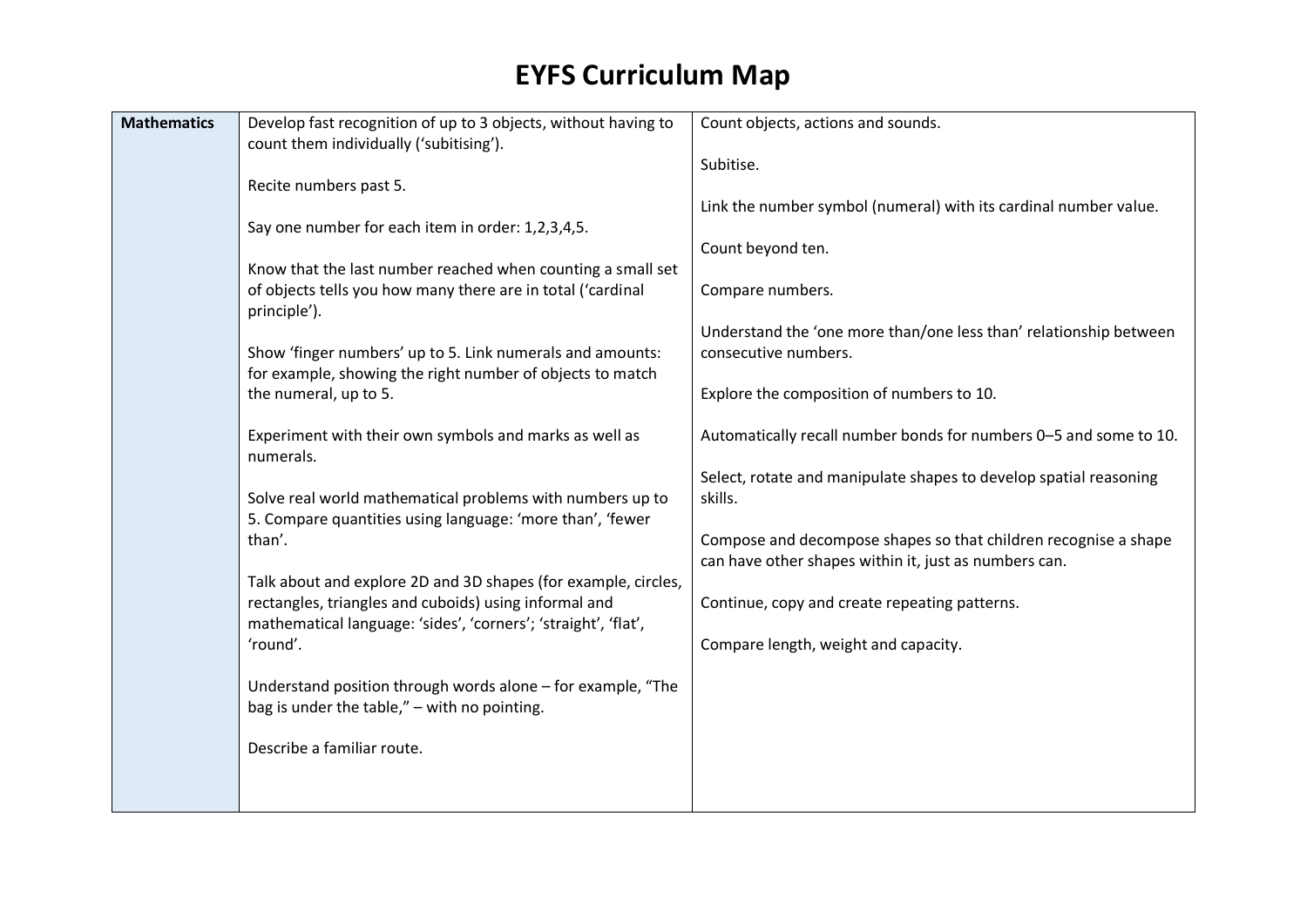| <b>Mathematics</b> | Develop fast recognition of up to 3 objects, without having to<br>count them individually ('subitising').               | Count objects, actions and sounds.                                                        |
|--------------------|-------------------------------------------------------------------------------------------------------------------------|-------------------------------------------------------------------------------------------|
|                    |                                                                                                                         | Subitise.                                                                                 |
|                    | Recite numbers past 5.                                                                                                  | Link the number symbol (numeral) with its cardinal number value.                          |
|                    | Say one number for each item in order: 1,2,3,4,5.                                                                       |                                                                                           |
|                    | Know that the last number reached when counting a small set                                                             | Count beyond ten.                                                                         |
|                    | of objects tells you how many there are in total ('cardinal<br>principle').                                             | Compare numbers.                                                                          |
|                    | Show 'finger numbers' up to 5. Link numerals and amounts:                                                               | Understand the 'one more than/one less than' relationship between<br>consecutive numbers. |
|                    | for example, showing the right number of objects to match<br>the numeral, up to 5.                                      | Explore the composition of numbers to 10.                                                 |
|                    | Experiment with their own symbols and marks as well as<br>numerals.                                                     | Automatically recall number bonds for numbers 0-5 and some to 10.                         |
|                    | Solve real world mathematical problems with numbers up to                                                               | Select, rotate and manipulate shapes to develop spatial reasoning<br>skills.              |
|                    | 5. Compare quantities using language: 'more than', 'fewer<br>than'.                                                     | Compose and decompose shapes so that children recognise a shape                           |
|                    | Talk about and explore 2D and 3D shapes (for example, circles,                                                          | can have other shapes within it, just as numbers can.                                     |
|                    | rectangles, triangles and cuboids) using informal and<br>mathematical language: 'sides', 'corners'; 'straight', 'flat', | Continue, copy and create repeating patterns.                                             |
|                    | 'round'.                                                                                                                | Compare length, weight and capacity.                                                      |
|                    | Understand position through words alone - for example, "The<br>bag is under the table," - with no pointing.             |                                                                                           |
|                    | Describe a familiar route.                                                                                              |                                                                                           |
|                    |                                                                                                                         |                                                                                           |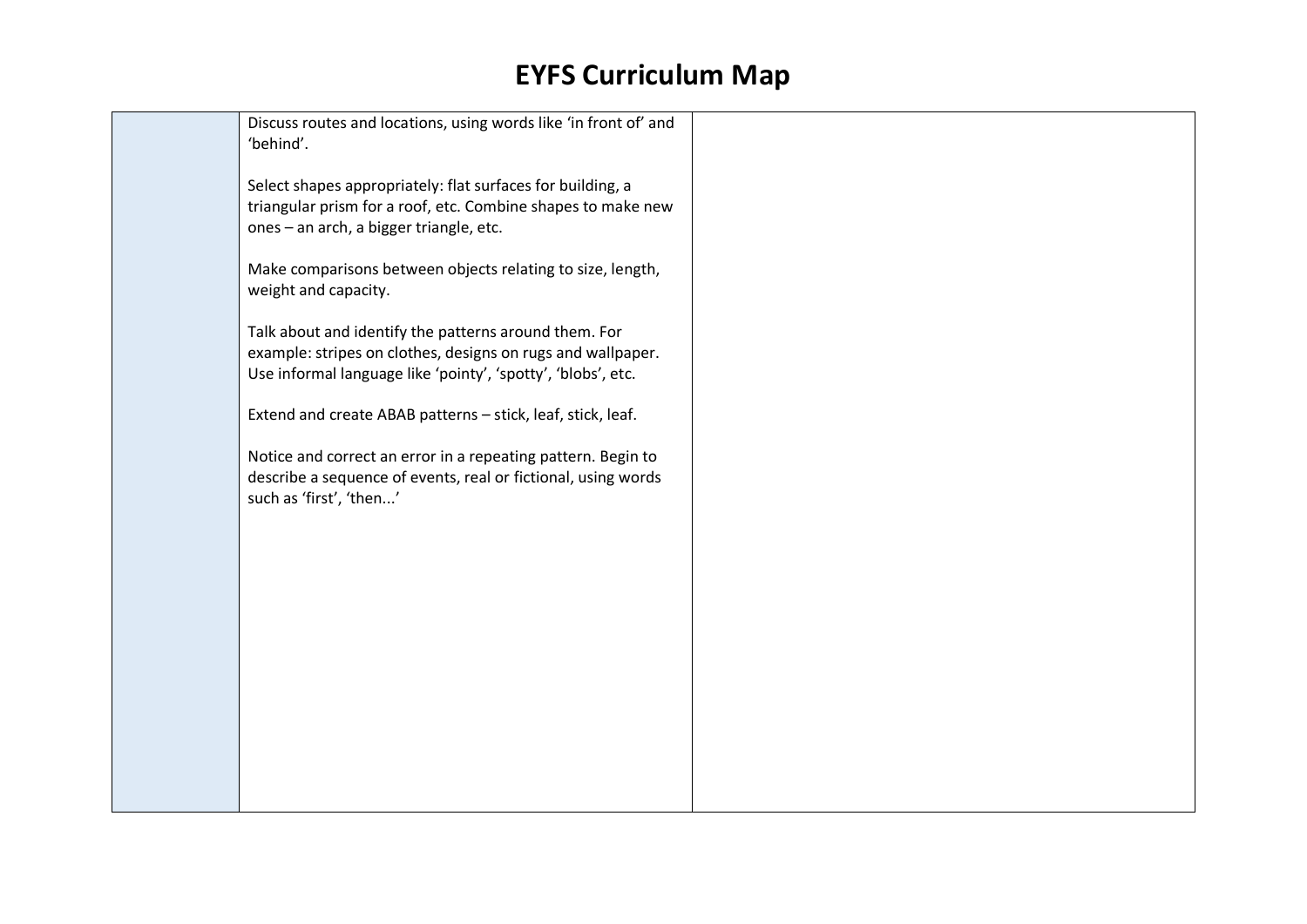Discuss routes and locations, using words like 'in front of' and 'behind'.

Select shapes appropriately: flat surfaces for building, a triangular prism for a roof, etc. Combine shapes to make new ones – an arch, a bigger triangle, etc.

Make comparisons between objects relating to size, length, weight and capacity.

Talk about and identify the patterns around them. For example: stripes on clothes, designs on rugs and wallpaper. Use informal language like 'pointy', 'spotty', 'blobs', etc.

Extend and create ABAB patterns – stick, leaf, stick, leaf.

Notice and correct an error in a repeating pattern. Begin to describe a sequence of events, real or fictional, using words such as 'first', 'then...'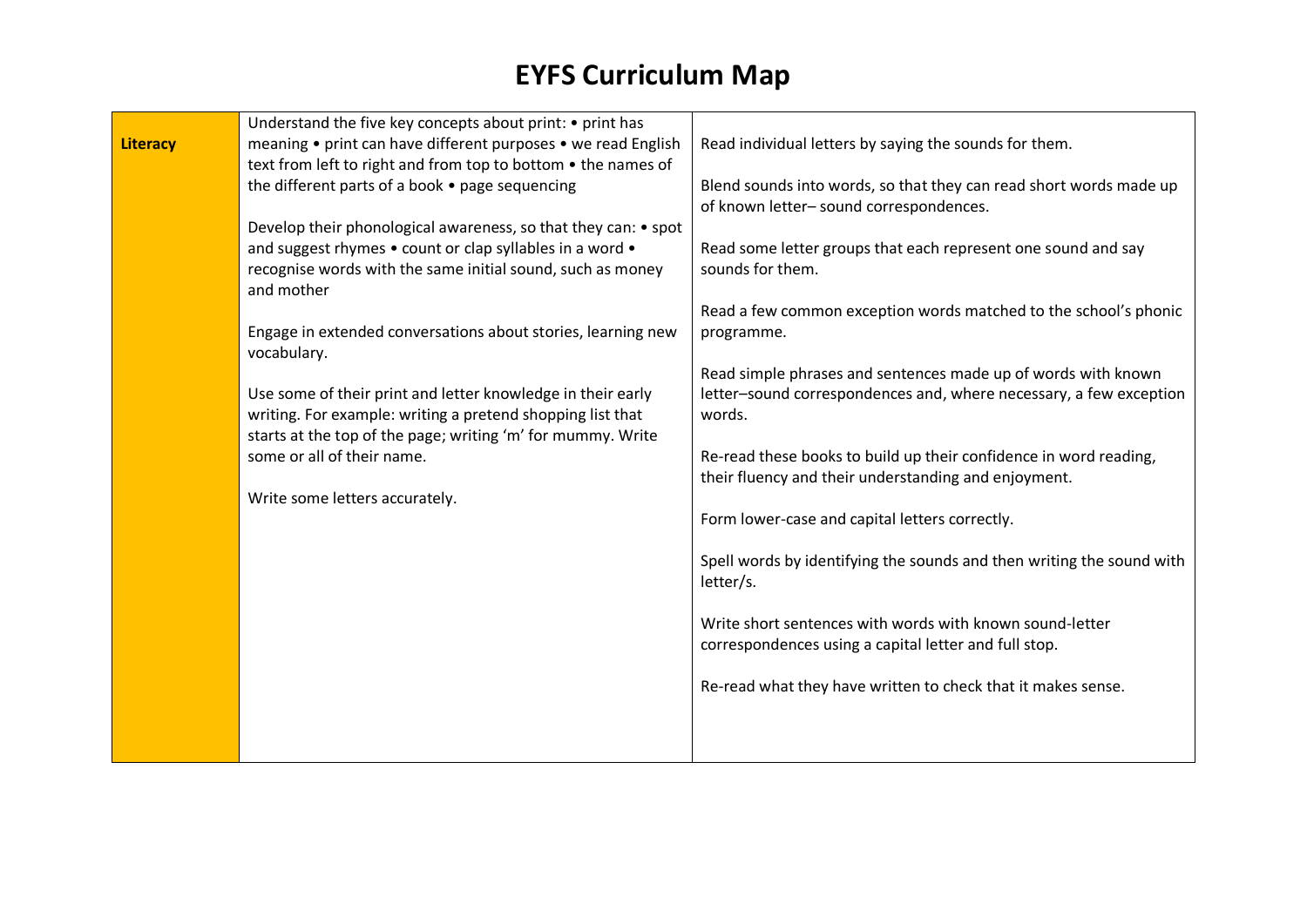|                 | Understand the five key concepts about print: • print has      |                                                                       |
|-----------------|----------------------------------------------------------------|-----------------------------------------------------------------------|
| <b>Literacy</b> | meaning • print can have different purposes • we read English  | Read individual letters by saying the sounds for them.                |
|                 | text from left to right and from top to bottom . the names of  |                                                                       |
|                 | the different parts of a book • page sequencing                | Blend sounds into words, so that they can read short words made up    |
|                 |                                                                | of known letter-sound correspondences.                                |
|                 | Develop their phonological awareness, so that they can: • spot |                                                                       |
|                 | and suggest rhymes • count or clap syllables in a word •       | Read some letter groups that each represent one sound and say         |
|                 | recognise words with the same initial sound, such as money     | sounds for them.                                                      |
|                 | and mother                                                     |                                                                       |
|                 |                                                                | Read a few common exception words matched to the school's phonic      |
|                 | Engage in extended conversations about stories, learning new   | programme.                                                            |
|                 | vocabulary.                                                    |                                                                       |
|                 |                                                                | Read simple phrases and sentences made up of words with known         |
|                 | Use some of their print and letter knowledge in their early    | letter-sound correspondences and, where necessary, a few exception    |
|                 | writing. For example: writing a pretend shopping list that     | words.                                                                |
|                 | starts at the top of the page; writing 'm' for mummy. Write    |                                                                       |
|                 | some or all of their name.                                     | Re-read these books to build up their confidence in word reading,     |
|                 |                                                                | their fluency and their understanding and enjoyment.                  |
|                 | Write some letters accurately.                                 |                                                                       |
|                 |                                                                | Form lower-case and capital letters correctly.                        |
|                 |                                                                | Spell words by identifying the sounds and then writing the sound with |
|                 |                                                                | letter/s.                                                             |
|                 |                                                                |                                                                       |
|                 |                                                                | Write short sentences with words with known sound-letter              |
|                 |                                                                | correspondences using a capital letter and full stop.                 |
|                 |                                                                |                                                                       |
|                 |                                                                | Re-read what they have written to check that it makes sense.          |
|                 |                                                                |                                                                       |
|                 |                                                                |                                                                       |
|                 |                                                                |                                                                       |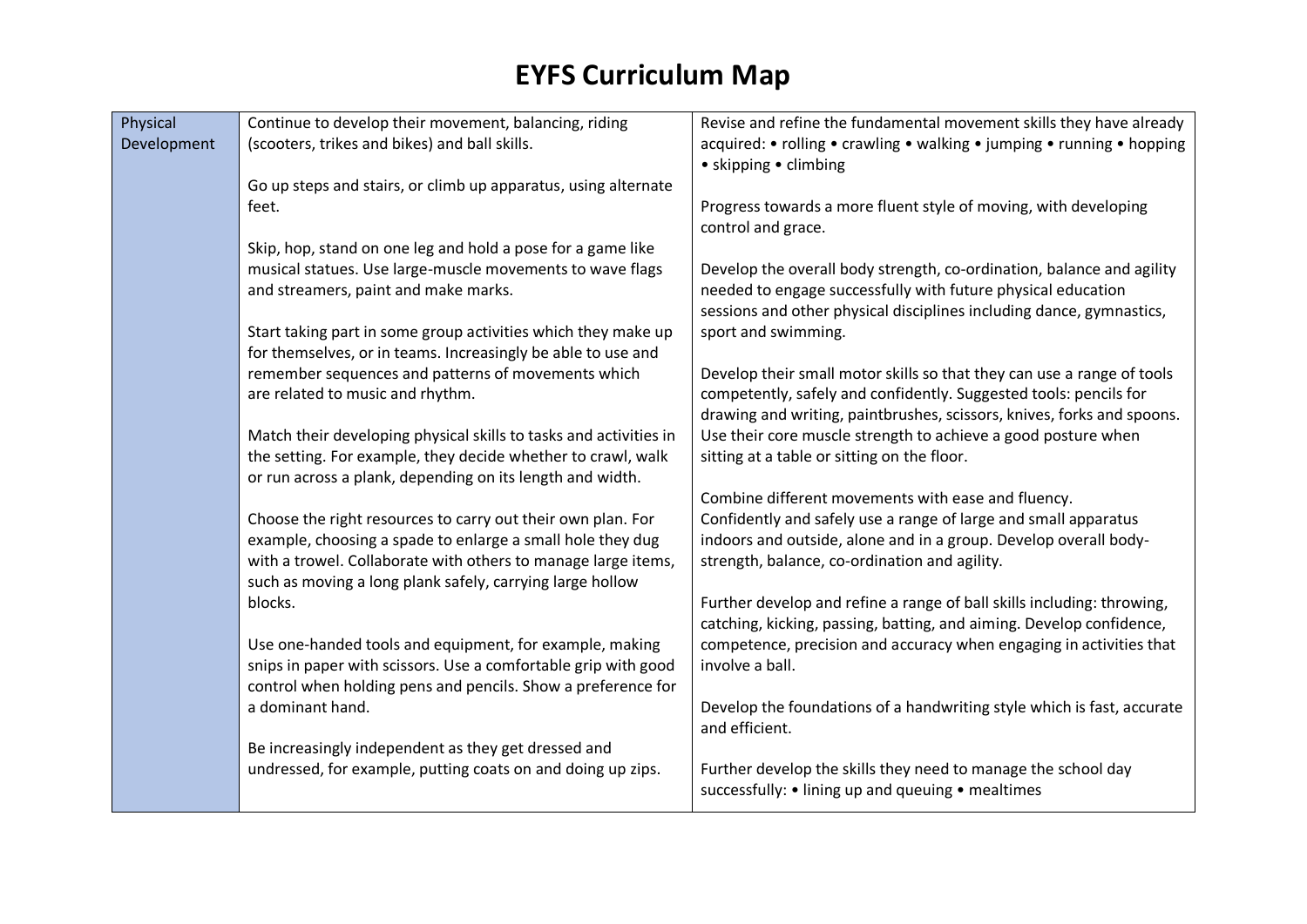| Physical    | Continue to develop their movement, balancing, riding             | Revise and refine the fundamental movement skills they have already                                                                         |
|-------------|-------------------------------------------------------------------|---------------------------------------------------------------------------------------------------------------------------------------------|
| Development | (scooters, trikes and bikes) and ball skills.                     | acquired: • rolling • crawling • walking • jumping • running • hopping                                                                      |
|             |                                                                   | • skipping • climbing                                                                                                                       |
|             | Go up steps and stairs, or climb up apparatus, using alternate    |                                                                                                                                             |
|             | feet.                                                             | Progress towards a more fluent style of moving, with developing                                                                             |
|             |                                                                   | control and grace.                                                                                                                          |
|             | Skip, hop, stand on one leg and hold a pose for a game like       |                                                                                                                                             |
|             | musical statues. Use large-muscle movements to wave flags         | Develop the overall body strength, co-ordination, balance and agility                                                                       |
|             | and streamers, paint and make marks.                              | needed to engage successfully with future physical education<br>sessions and other physical disciplines including dance, gymnastics,        |
|             | Start taking part in some group activities which they make up     | sport and swimming.                                                                                                                         |
|             | for themselves, or in teams. Increasingly be able to use and      |                                                                                                                                             |
|             | remember sequences and patterns of movements which                | Develop their small motor skills so that they can use a range of tools                                                                      |
|             | are related to music and rhythm.                                  | competently, safely and confidently. Suggested tools: pencils for                                                                           |
|             |                                                                   | drawing and writing, paintbrushes, scissors, knives, forks and spoons.                                                                      |
|             | Match their developing physical skills to tasks and activities in | Use their core muscle strength to achieve a good posture when                                                                               |
|             | the setting. For example, they decide whether to crawl, walk      | sitting at a table or sitting on the floor.                                                                                                 |
|             | or run across a plank, depending on its length and width.         |                                                                                                                                             |
|             |                                                                   | Combine different movements with ease and fluency.                                                                                          |
|             | Choose the right resources to carry out their own plan. For       | Confidently and safely use a range of large and small apparatus                                                                             |
|             | example, choosing a spade to enlarge a small hole they dug        | indoors and outside, alone and in a group. Develop overall body-                                                                            |
|             | with a trowel. Collaborate with others to manage large items,     | strength, balance, co-ordination and agility.                                                                                               |
|             | such as moving a long plank safely, carrying large hollow         |                                                                                                                                             |
|             | blocks.                                                           | Further develop and refine a range of ball skills including: throwing,                                                                      |
|             | Use one-handed tools and equipment, for example, making           | catching, kicking, passing, batting, and aiming. Develop confidence,<br>competence, precision and accuracy when engaging in activities that |
|             | snips in paper with scissors. Use a comfortable grip with good    | involve a ball.                                                                                                                             |
|             | control when holding pens and pencils. Show a preference for      |                                                                                                                                             |
|             | a dominant hand.                                                  | Develop the foundations of a handwriting style which is fast, accurate                                                                      |
|             |                                                                   | and efficient.                                                                                                                              |
|             | Be increasingly independent as they get dressed and               |                                                                                                                                             |
|             | undressed, for example, putting coats on and doing up zips.       | Further develop the skills they need to manage the school day                                                                               |
|             |                                                                   | successfully: • lining up and queuing • mealtimes                                                                                           |
|             |                                                                   |                                                                                                                                             |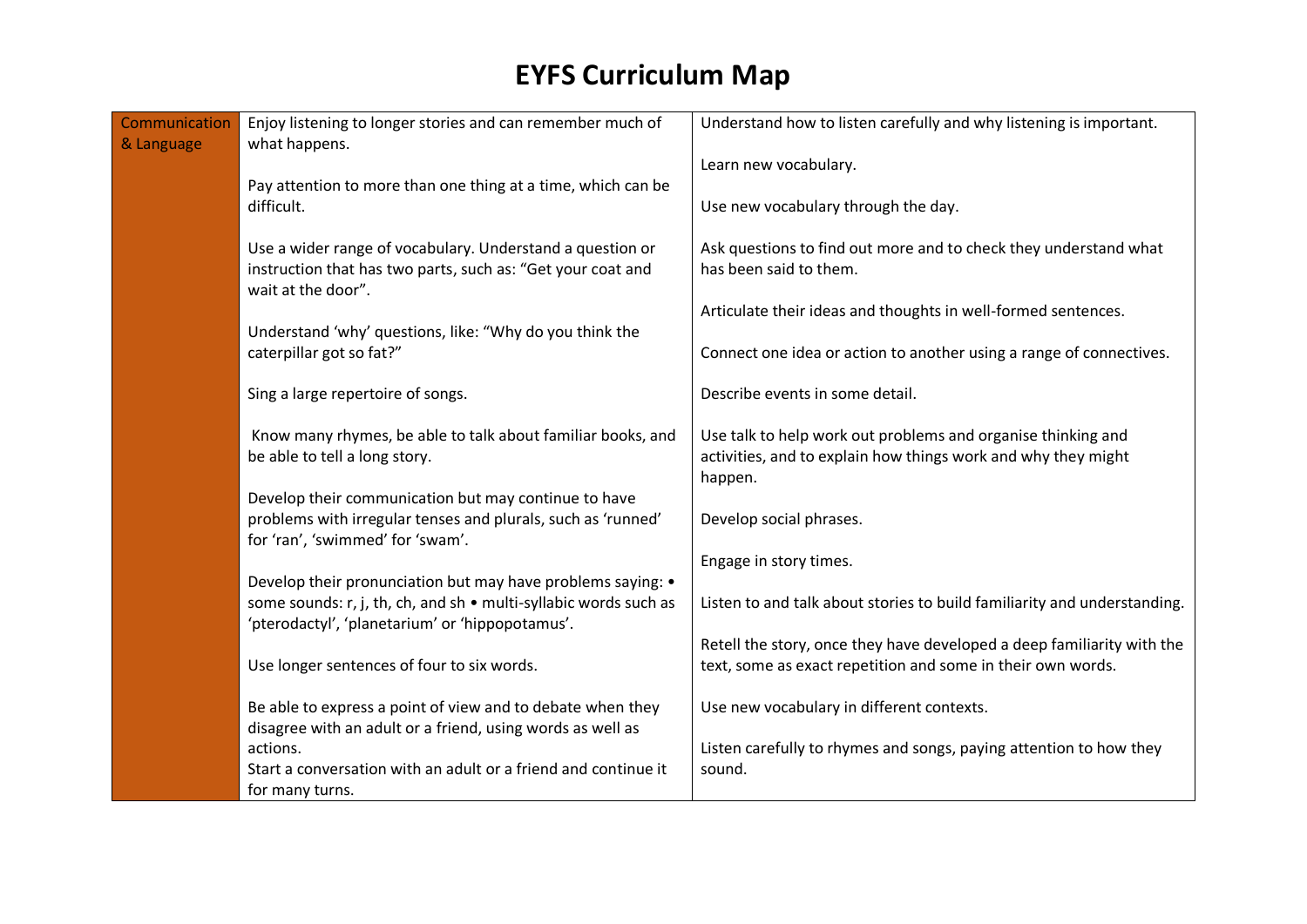| Communication | Enjoy listening to longer stories and can remember much of                                                                                                                         | Understand how to listen carefully and why listening is important.                                                                       |
|---------------|------------------------------------------------------------------------------------------------------------------------------------------------------------------------------------|------------------------------------------------------------------------------------------------------------------------------------------|
| & Language    | what happens.                                                                                                                                                                      | Learn new vocabulary.                                                                                                                    |
|               | Pay attention to more than one thing at a time, which can be<br>difficult.                                                                                                         | Use new vocabulary through the day.                                                                                                      |
|               | Use a wider range of vocabulary. Understand a question or<br>instruction that has two parts, such as: "Get your coat and<br>wait at the door".                                     | Ask questions to find out more and to check they understand what<br>has been said to them.                                               |
|               |                                                                                                                                                                                    | Articulate their ideas and thoughts in well-formed sentences.                                                                            |
|               | Understand 'why' questions, like: "Why do you think the<br>caterpillar got so fat?"                                                                                                | Connect one idea or action to another using a range of connectives.                                                                      |
|               | Sing a large repertoire of songs.                                                                                                                                                  | Describe events in some detail.                                                                                                          |
|               | Know many rhymes, be able to talk about familiar books, and<br>be able to tell a long story.                                                                                       | Use talk to help work out problems and organise thinking and<br>activities, and to explain how things work and why they might<br>happen. |
|               | Develop their communication but may continue to have<br>problems with irregular tenses and plurals, such as 'runned'<br>for 'ran', 'swimmed' for 'swam'.                           | Develop social phrases.                                                                                                                  |
|               |                                                                                                                                                                                    | Engage in story times.                                                                                                                   |
|               | Develop their pronunciation but may have problems saying: •<br>some sounds: r, j, th, ch, and sh . multi-syllabic words such as<br>'pterodactyl', 'planetarium' or 'hippopotamus'. | Listen to and talk about stories to build familiarity and understanding.                                                                 |
|               | Use longer sentences of four to six words.                                                                                                                                         | Retell the story, once they have developed a deep familiarity with the<br>text, some as exact repetition and some in their own words.    |
|               | Be able to express a point of view and to debate when they<br>disagree with an adult or a friend, using words as well as                                                           | Use new vocabulary in different contexts.                                                                                                |
|               | actions.<br>Start a conversation with an adult or a friend and continue it                                                                                                         | Listen carefully to rhymes and songs, paying attention to how they<br>sound.                                                             |
|               | for many turns.                                                                                                                                                                    |                                                                                                                                          |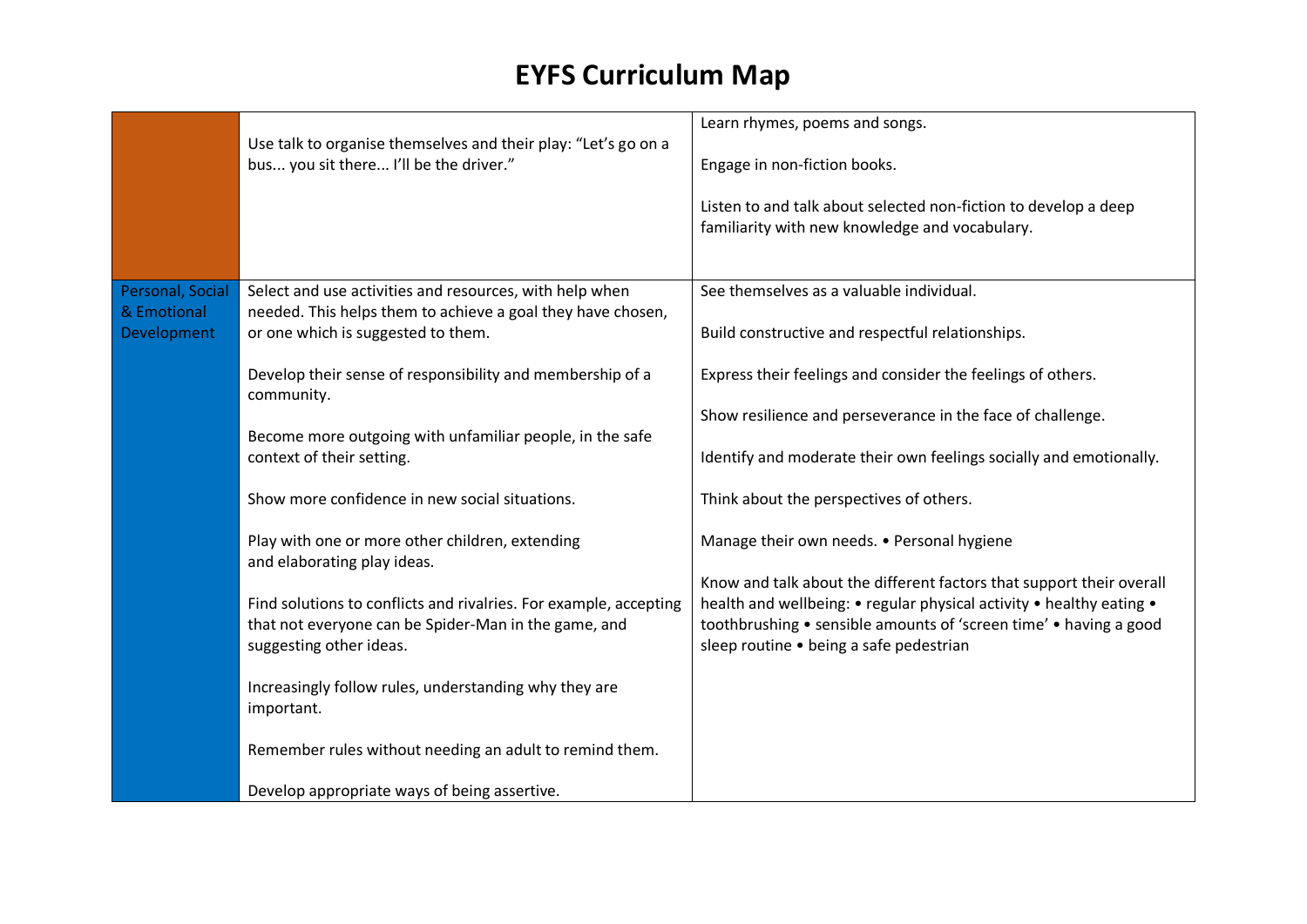|                                                | Use talk to organise themselves and their play: "Let's go on a<br>bus you sit there I'll be the driver."                                                     | Learn rhymes, poems and songs.<br>Engage in non-fiction books.<br>Listen to and talk about selected non-fiction to develop a deep<br>familiarity with new knowledge and vocabulary.                                                                          |
|------------------------------------------------|--------------------------------------------------------------------------------------------------------------------------------------------------------------|--------------------------------------------------------------------------------------------------------------------------------------------------------------------------------------------------------------------------------------------------------------|
| Personal, Social<br>& Emotional<br>Development | Select and use activities and resources, with help when<br>needed. This helps them to achieve a goal they have chosen,<br>or one which is suggested to them. | See themselves as a valuable individual.<br>Build constructive and respectful relationships.                                                                                                                                                                 |
|                                                | Develop their sense of responsibility and membership of a<br>community.                                                                                      | Express their feelings and consider the feelings of others.<br>Show resilience and perseverance in the face of challenge.                                                                                                                                    |
|                                                | Become more outgoing with unfamiliar people, in the safe<br>context of their setting.                                                                        | Identify and moderate their own feelings socially and emotionally.                                                                                                                                                                                           |
|                                                | Show more confidence in new social situations.                                                                                                               | Think about the perspectives of others.                                                                                                                                                                                                                      |
|                                                | Play with one or more other children, extending<br>and elaborating play ideas.                                                                               | Manage their own needs. • Personal hygiene                                                                                                                                                                                                                   |
|                                                | Find solutions to conflicts and rivalries. For example, accepting<br>that not everyone can be Spider-Man in the game, and<br>suggesting other ideas.         | Know and talk about the different factors that support their overall<br>health and wellbeing: • regular physical activity • healthy eating •<br>toothbrushing • sensible amounts of 'screen time' • having a good<br>sleep routine • being a safe pedestrian |
|                                                | Increasingly follow rules, understanding why they are<br>important.                                                                                          |                                                                                                                                                                                                                                                              |
|                                                | Remember rules without needing an adult to remind them.                                                                                                      |                                                                                                                                                                                                                                                              |
|                                                | Develop appropriate ways of being assertive.                                                                                                                 |                                                                                                                                                                                                                                                              |